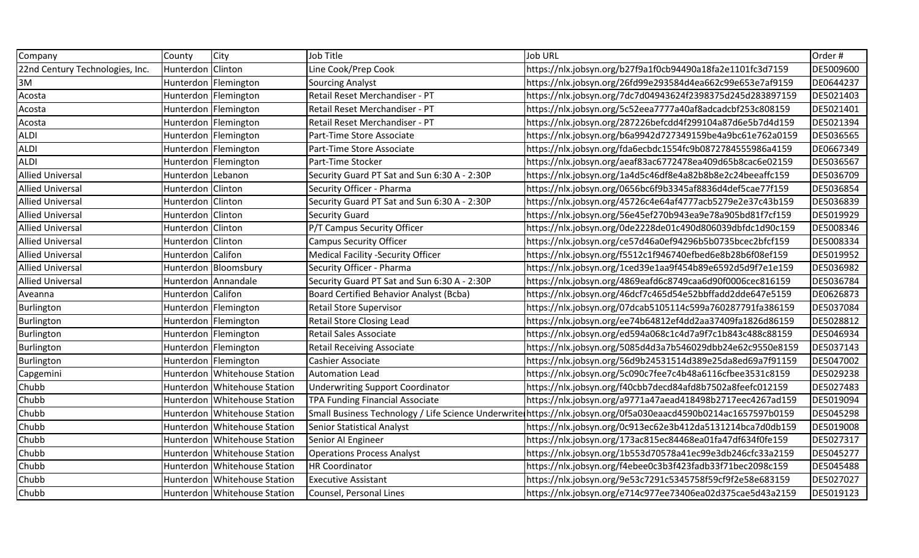| Company                         | County              | City                           | Job Title                                      | <b>Job URL</b>                                                                                                 | Order #   |
|---------------------------------|---------------------|--------------------------------|------------------------------------------------|----------------------------------------------------------------------------------------------------------------|-----------|
| 22nd Century Technologies, Inc. | Hunterdon Clinton   |                                | Line Cook/Prep Cook                            | https://nlx.jobsyn.org/b27f9a1f0cb94490a18fa2e1101fc3d7159                                                     | DE5009600 |
| 3M                              |                     | Hunterdon   Flemington         | Sourcing Analyst                               | https://nlx.jobsyn.org/26fd99e293584d4ea662c99e653e7af9159                                                     | DE0644237 |
| Acosta                          |                     | Hunterdon   Flemington         | Retail Reset Merchandiser - PT                 | https://nlx.jobsyn.org/7dc7d04943624f2398375d245d283897159                                                     | DE5021403 |
| Acosta                          |                     | Hunterdon   Flemington         | Retail Reset Merchandiser - PT                 | https://nlx.jobsyn.org/5c52eea7777a40af8adcadcbf253c808159                                                     | DE5021401 |
| Acosta                          |                     | Hunterdon   Flemington         | Retail Reset Merchandiser - PT                 | https://nlx.jobsyn.org/287226befcdd4f299104a87d6e5b7d4d159                                                     | DE5021394 |
| <b>ALDI</b>                     |                     | Hunterdon Flemington           | Part-Time Store Associate                      | https://nlx.jobsyn.org/b6a9942d727349159be4a9bc61e762a0159                                                     | DE5036565 |
| <b>ALDI</b>                     |                     | Hunterdon   Flemington         | Part-Time Store Associate                      | https://nlx.jobsyn.org/fda6ecbdc1554fc9b0872784555986a4159                                                     | DE0667349 |
| <b>ALDI</b>                     |                     | Hunterdon Flemington           | Part-Time Stocker                              | https://nlx.jobsyn.org/aeaf83ac6772478ea409d65b8cac6e02159                                                     | DE5036567 |
| <b>Allied Universal</b>         | Hunterdon Lebanon   |                                | Security Guard PT Sat and Sun 6:30 A - 2:30P   | https://nlx.jobsyn.org/1a4d5c46df8e4a82b8b8e2c24beeaffc159                                                     | DE5036709 |
| <b>Allied Universal</b>         | Hunterdon Clinton   |                                | Security Officer - Pharma                      | https://nlx.jobsyn.org/0656bc6f9b3345af8836d4def5cae77f159                                                     | DE5036854 |
| <b>Allied Universal</b>         | Hunterdon           | Clinton                        | Security Guard PT Sat and Sun 6:30 A - 2:30P   | https://nlx.jobsyn.org/45726c4e64af4777acb5279e2e37c43b159                                                     | DE5036839 |
| <b>Allied Universal</b>         | Hunterdon   Clinton |                                | Security Guard                                 | https://nlx.jobsyn.org/56e45ef270b943ea9e78a905bd81f7cf159                                                     | DE5019929 |
| <b>Allied Universal</b>         | Hunterdon Clinton   |                                | P/T Campus Security Officer                    | https://nlx.jobsyn.org/0de2228de01c490d806039dbfdc1d90c159                                                     | DE5008346 |
| <b>Allied Universal</b>         | Hunterdon           | <b>Clinton</b>                 | Campus Security Officer                        | https://nlx.jobsyn.org/ce57d46a0ef94296b5b0735bcec2bfcf159                                                     | DE5008334 |
| <b>Allied Universal</b>         | Hunterdon Califon   |                                | Medical Facility -Security Officer             | https://nlx.jobsyn.org/f5512c1f946740efbed6e8b28b6f08ef159                                                     | DE5019952 |
| <b>Allied Universal</b>         |                     | Hunterdon   Bloomsbury         | Security Officer - Pharma                      | https://nlx.jobsyn.org/1ced39e1aa9f454b89e6592d5d9f7e1e159                                                     | DE5036982 |
| <b>Allied Universal</b>         |                     | Hunterdon Annandale            | Security Guard PT Sat and Sun 6:30 A - 2:30P   | https://nlx.jobsyn.org/4869eafd6c8749caa6d90f0006cec816159                                                     | DE5036784 |
| Aveanna                         | Hunterdon Califon   |                                | <b>Board Certified Behavior Analyst (Bcba)</b> | https://nlx.jobsyn.org/46dcf7c465d54e52bbffadd2dde647e5159                                                     | DE0626873 |
| Burlington                      |                     | Hunterdon   Flemington         | <b>Retail Store Supervisor</b>                 | https://nlx.jobsyn.org/07dcab5105114c599a760287791fa386159                                                     | DE5037084 |
| Burlington                      |                     | Hunterdon   Flemington         | <b>Retail Store Closing Lead</b>               | https://nlx.jobsyn.org/ee74b64812ef4dd2aa37409fa1826d86159                                                     | DE5028812 |
| Burlington                      |                     | Hunterdon   Flemington         | Retail Sales Associate                         | https://nlx.jobsyn.org/ed594a068c1c4d7a9f7c1b843c488c88159                                                     | DE5046934 |
| Burlington                      |                     | Hunterdon   Flemington         | <b>Retail Receiving Associate</b>              | https://nlx.jobsyn.org/5085d4d3a7b546029dbb24e62c9550e8159                                                     | DE5037143 |
| Burlington                      |                     | Hunterdon   Flemington         | Cashier Associate                              | https://nlx.jobsyn.org/56d9b24531514d389e25da8ed69a7f91159                                                     | DE5047002 |
| Capgemini                       | Hunterdon           | <b>Whitehouse Station</b>      | <b>Automation Lead</b>                         | https://nlx.jobsyn.org/5c090c7fee7c4b48a6116cfbee3531c8159                                                     | DE5029238 |
| Chubb                           | Hunterdon           | <b>Whitehouse Station</b>      | <b>Underwriting Support Coordinator</b>        | https://nlx.jobsyn.org/f40cbb7decd84afd8b7502a8feefc012159                                                     | DE5027483 |
| Chubb                           | Hunterdon           | <b>Whitehouse Station</b>      | TPA Funding Financial Associate                | https://nlx.jobsyn.org/a9771a47aead418498b2717eec4267ad159                                                     | DE5019094 |
| Chubb                           | Hunterdon           | <b>Whitehouse Station</b>      |                                                | Small Business Technology / Life Science Underwrite https://nlx.jobsyn.org/0f5a030eaacd4590b0214ac1657597b0159 | DE5045298 |
| Chubb                           |                     | Hunterdon   Whitehouse Station | Senior Statistical Analyst                     | https://nlx.jobsyn.org/0c913ec62e3b412da5131214bca7d0db159                                                     | DE5019008 |
| Chubb                           | Hunterdon           | <b>Whitehouse Station</b>      | Senior AI Engineer                             | https://nlx.jobsyn.org/173ac815ec84468ea01fa47df634f0fe159                                                     | DE5027317 |
| Chubb                           | Hunterdon           | <b>Whitehouse Station</b>      | <b>Operations Process Analyst</b>              | https://nlx.jobsyn.org/1b553d70578a41ec99e3db246cfc33a2159                                                     | DE5045277 |
| Chubb                           | Hunterdon           | <b>Whitehouse Station</b>      | HR Coordinator                                 | https://nlx.jobsyn.org/f4ebee0c3b3f423fadb33f71bec2098c159                                                     | DE5045488 |
| Chubb                           | Hunterdon           | <b>Whitehouse Station</b>      | <b>Executive Assistant</b>                     | https://nlx.jobsyn.org/9e53c7291c5345758f59cf9f2e58e683159                                                     | DE5027027 |
| Chubb                           |                     | Hunterdon   Whitehouse Station | Counsel, Personal Lines                        | https://nlx.jobsyn.org/e714c977ee73406ea02d375cae5d43a2159                                                     | DE5019123 |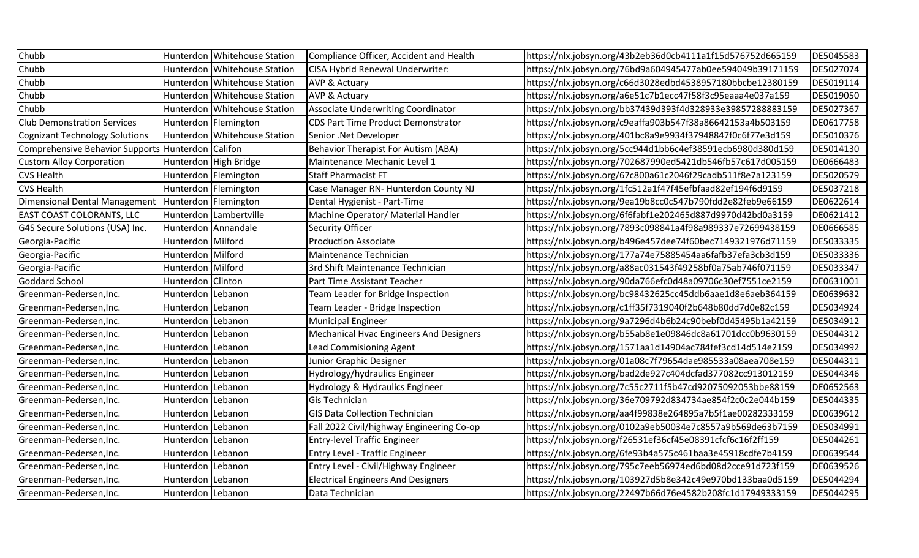| Chubb                                             |                     | Hunterdon Whitehouse Station   | Compliance Officer, Accident and Health    | https://nlx.jobsyn.org/43b2eb36d0cb4111a1f15d576752d665159 | DE5045583 |
|---------------------------------------------------|---------------------|--------------------------------|--------------------------------------------|------------------------------------------------------------|-----------|
| Chubb                                             |                     | Hunterdon Whitehouse Station   | CISA Hybrid Renewal Underwriter:           | https://nlx.jobsyn.org/76bd9a604945477ab0ee594049b39171159 | DE5027074 |
| Chubb                                             |                     | Hunterdon   Whitehouse Station | <b>AVP &amp; Actuary</b>                   | https://nlx.jobsyn.org/c66d3028edbd4538957180bbcbe12380159 | DE5019114 |
| Chubb                                             |                     | Hunterdon   Whitehouse Station | <b>AVP &amp; Actuary</b>                   | https://nlx.jobsyn.org/a6e51c7b1ecc47f58f3c95eaaa4e037a159 | DE5019050 |
| Chubb                                             |                     | Hunterdon   Whitehouse Station | <b>Associate Underwriting Coordinator</b>  | https://nlx.jobsyn.org/bb37439d393f4d328933e39857288883159 | DE5027367 |
| <b>Club Demonstration Services</b>                |                     | Hunterdon   Flemington         | <b>CDS Part Time Product Demonstrator</b>  | https://nlx.jobsyn.org/c9eaffa903b547f38a86642153a4b503159 | DE0617758 |
| <b>Cognizant Technology Solutions</b>             |                     | Hunterdon Whitehouse Station   | Senior .Net Developer                      | https://nlx.jobsyn.org/401bc8a9e9934f37948847f0c6f77e3d159 | DE5010376 |
| Comprehensive Behavior Supports Hunterdon Califon |                     |                                | <b>Behavior Therapist For Autism (ABA)</b> | https://nlx.jobsyn.org/5cc944d1bb6c4ef38591ecb6980d380d159 | DE5014130 |
| <b>Custom Alloy Corporation</b>                   |                     | Hunterdon High Bridge          | Maintenance Mechanic Level 1               | https://nlx.jobsyn.org/702687990ed5421db546fb57c617d005159 | DE0666483 |
| <b>CVS Health</b>                                 |                     | Hunterdon   Flemington         | <b>Staff Pharmacist FT</b>                 | https://nlx.jobsyn.org/67c800a61c2046f29cadb511f8e7a123159 | DE5020579 |
| <b>CVS Health</b>                                 |                     | Hunterdon   Flemington         | Case Manager RN- Hunterdon County NJ       | https://nlx.jobsyn.org/1fc512a1f47f45efbfaad82ef194f6d9159 | DE5037218 |
| <b>Dimensional Dental Management</b>              |                     | Hunterdon Flemington           | Dental Hygienist - Part-Time               | https://nlx.jobsyn.org/9ea19b8cc0c547b790fdd2e82feb9e66159 | DE0622614 |
| EAST COAST COLORANTS, LLC                         |                     | Hunterdon Lambertville         | Machine Operator/ Material Handler         | https://nlx.jobsyn.org/6f6fabf1e202465d887d9970d42bd0a3159 | DE0621412 |
| G4S Secure Solutions (USA) Inc.                   | Hunterdon Annandale |                                | <b>Security Officer</b>                    | https://nlx.jobsyn.org/7893c098841a4f98a989337e72699438159 | DE0666585 |
| Georgia-Pacific                                   | Hunterdon Milford   |                                | <b>Production Associate</b>                | https://nlx.jobsyn.org/b496e457dee74f60bec7149321976d71159 | DE5033335 |
| Georgia-Pacific                                   | Hunterdon Milford   |                                | Maintenance Technician                     | https://nlx.jobsyn.org/177a74e75885454aa6fafb37efa3cb3d159 | DE5033336 |
| Georgia-Pacific                                   | Hunterdon Milford   |                                | 3rd Shift Maintenance Technician           | https://nlx.jobsyn.org/a88ac031543f49258bf0a75ab746f071159 | DE5033347 |
| Goddard School                                    | Hunterdon   Clinton |                                | Part Time Assistant Teacher                | https://nlx.jobsyn.org/90da766efc0d48a09706c30ef7551ce2159 | DE0631001 |
| Greenman-Pedersen, Inc.                           | Hunterdon Lebanon   |                                | Team Leader for Bridge Inspection          | https://nlx.jobsyn.org/bc98432625cc45ddb6aae1d8e6aeb364159 | DE0639632 |
| Greenman-Pedersen, Inc.                           | Hunterdon Lebanon   |                                | Team Leader - Bridge Inspection            | https://nlx.jobsyn.org/c1ff35f7319040f2b648b80dd7d0e82c159 | DE5034924 |
| Greenman-Pedersen, Inc.                           | Hunterdon Lebanon   |                                | <b>Municipal Engineer</b>                  | https://nlx.jobsyn.org/9a7296d4b6b24c90bebf0d45495b1a42159 | DE5034912 |
| Greenman-Pedersen, Inc.                           | Hunterdon Lebanon   |                                | Mechanical Hvac Engineers And Designers    | https://nlx.jobsyn.org/b55ab8e1e09846dc8a61701dcc0b9630159 | DE5044312 |
| Greenman-Pedersen, Inc.                           | Hunterdon Lebanon   |                                | <b>Lead Commisioning Agent</b>             | https://nlx.jobsyn.org/1571aa1d14904ac784fef3cd14d514e2159 | DE5034992 |
| Greenman-Pedersen, Inc.                           | Hunterdon Lebanon   |                                | Junior Graphic Designer                    | https://nlx.jobsyn.org/01a08c7f79654dae985533a08aea708e159 | DE5044311 |
| Greenman-Pedersen, Inc.                           | Hunterdon Lebanon   |                                | Hydrology/hydraulics Engineer              | https://nlx.jobsyn.org/bad2de927c404dcfad377082cc913012159 | DE5044346 |
| Greenman-Pedersen, Inc.                           | Hunterdon Lebanon   |                                | Hydrology & Hydraulics Engineer            | https://nlx.jobsyn.org/7c55c2711f5b47cd92075092053bbe88159 | DE0652563 |
| Greenman-Pedersen, Inc.                           | Hunterdon Lebanon   |                                | Gis Technician                             | https://nlx.jobsyn.org/36e709792d834734ae854f2c0c2e044b159 | DE5044335 |
| Greenman-Pedersen, Inc.                           | Hunterdon Lebanon   |                                | <b>GIS Data Collection Technician</b>      | https://nlx.jobsyn.org/aa4f99838e264895a7b5f1ae00282333159 | DE0639612 |
| Greenman-Pedersen, Inc.                           | Hunterdon Lebanon   |                                | Fall 2022 Civil/highway Engineering Co-op  | https://nlx.jobsyn.org/0102a9eb50034e7c8557a9b569de63b7159 | DE5034991 |
| Greenman-Pedersen, Inc.                           | Hunterdon Lebanon   |                                | <b>Entry-level Traffic Engineer</b>        | https://nlx.jobsyn.org/f26531ef36cf45e08391cfcf6c16f2ff159 | DE5044261 |
| Greenman-Pedersen, Inc.                           | Hunterdon Lebanon   |                                | <b>Entry Level - Traffic Engineer</b>      | https://nlx.jobsyn.org/6fe93b4a575c461baa3e45918cdfe7b4159 | DE0639544 |
| Greenman-Pedersen, Inc.                           | Hunterdon Lebanon   |                                | Entry Level - Civil/Highway Engineer       | https://nlx.jobsyn.org/795c7eeb56974ed6bd08d2cce91d723f159 | DE0639526 |
| Greenman-Pedersen, Inc.                           | Hunterdon Lebanon   |                                | <b>Electrical Engineers And Designers</b>  | https://nlx.jobsyn.org/103927d5b8e342c49e970bd133baa0d5159 | DE5044294 |
| Greenman-Pedersen, Inc.                           | Hunterdon Lebanon   |                                | Data Technician                            | https://nlx.jobsyn.org/22497b66d76e4582b208fc1d17949333159 | DE5044295 |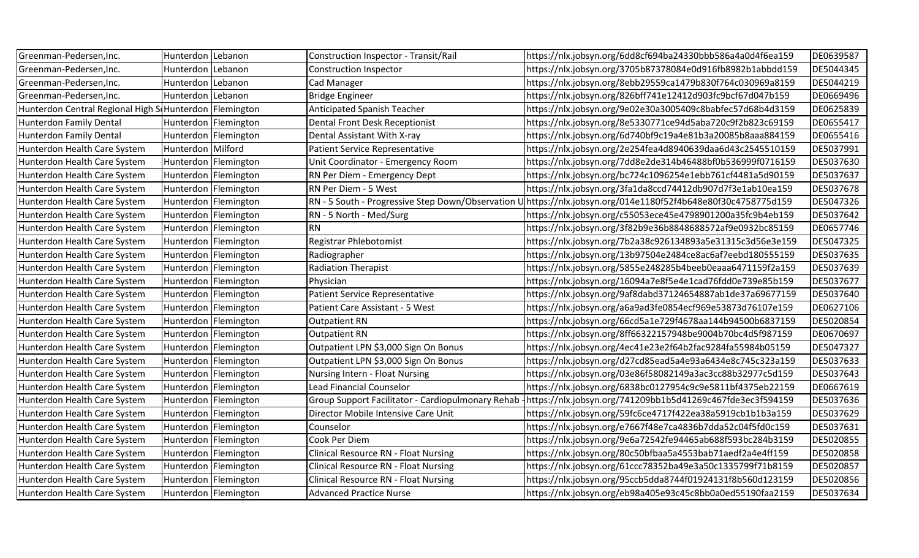| Greenman-Pedersen, Inc.                                  | Hunterdon Lebanon |                        | Construction Inspector - Transit/Rail             | https://nlx.jobsyn.org/6dd8cf694ba24330bbb586a4a0d4f6ea159 | DE0639587 |
|----------------------------------------------------------|-------------------|------------------------|---------------------------------------------------|------------------------------------------------------------|-----------|
| Greenman-Pedersen, Inc.                                  | Hunterdon Lebanon |                        | Construction Inspector                            | https://nlx.jobsyn.org/3705b87378084e0d916fb8982b1abbdd159 | DE5044345 |
| Greenman-Pedersen, Inc.                                  | Hunterdon         | Lebanon                | Cad Manager                                       | https://nlx.jobsyn.org/8ebb29559ca1479b830f764c030969a8159 | DE5044219 |
| Greenman-Pedersen, Inc.                                  | Hunterdon Lebanon |                        | <b>Bridge Engineer</b>                            | https://nlx.jobsyn.org/826bff741e12412d903fc9bcf67d047b159 | DE0669496 |
| Hunterdon Central Regional High S Hunterdon   Flemington |                   |                        | <b>Anticipated Spanish Teacher</b>                | https://nlx.jobsyn.org/9e02e30a3005409c8babfec57d68b4d3159 | DE0625839 |
| Hunterdon Family Dental                                  |                   | Hunterdon   Flemington | Dental Front Desk Receptionist                    | https://nlx.jobsyn.org/8e5330771ce94d5aba720c9f2b823c69159 | DE0655417 |
| Hunterdon Family Dental                                  |                   | Hunterdon   Flemington | Dental Assistant With X-ray                       | https://nlx.jobsyn.org/6d740bf9c19a4e81b3a20085b8aaa884159 | DE0655416 |
| Hunterdon Health Care System                             | Hunterdon Milford |                        | <b>Patient Service Representative</b>             | https://nlx.jobsyn.org/2e254fea4d8940639daa6d43c2545510159 | DE5037991 |
| Hunterdon Health Care System                             |                   | Hunterdon   Flemington | Unit Coordinator - Emergency Room                 | https://nlx.jobsyn.org/7dd8e2de314b46488bf0b536999f0716159 | DE5037630 |
| Hunterdon Health Care System                             |                   | Hunterdon   Flemington | RN Per Diem - Emergency Dept                      | https://nlx.jobsyn.org/bc724c1096254e1ebb761cf4481a5d90159 | DE5037637 |
| Hunterdon Health Care System                             |                   | Hunterdon   Flemington | RN Per Diem - 5 West                              | https://nlx.jobsyn.org/3fa1da8ccd74412db907d7f3e1ab10ea159 | DE5037678 |
| Hunterdon Health Care System                             |                   | Hunterdon   Flemington | RN - 5 South - Progressive Step Down/Observation  | https://nlx.jobsyn.org/014e1180f52f4b648e80f30c4758775d159 | DE5047326 |
| Hunterdon Health Care System                             |                   | Hunterdon   Flemington | RN - 5 North - Med/Surg                           | https://nlx.jobsyn.org/c55053ece45e4798901200a35fc9b4eb159 | DE5037642 |
| Hunterdon Health Care System                             |                   | Hunterdon   Flemington | <b>RN</b>                                         | https://nlx.jobsyn.org/3f82b9e36b8848688572af9e0932bc85159 | DE0657746 |
| Hunterdon Health Care System                             |                   | Hunterdon   Flemington | Registrar Phlebotomist                            | https://nlx.jobsyn.org/7b2a38c926134893a5e31315c3d56e3e159 | DE5047325 |
| Hunterdon Health Care System                             |                   | Hunterdon   Flemington | Radiographer                                      | https://nlx.jobsyn.org/13b97504e2484ce8ac6af7eebd180555159 | DE5037635 |
| Hunterdon Health Care System                             |                   | Hunterdon   Flemington | <b>Radiation Therapist</b>                        | https://nlx.jobsyn.org/5855e248285b4beeb0eaaa6471159f2a159 | DE5037639 |
| Hunterdon Health Care System                             |                   | Hunterdon   Flemington | Physician                                         | https://nlx.jobsyn.org/16094a7e8f5e4e1cad76fdd0e739e85b159 | DE5037677 |
| Hunterdon Health Care System                             |                   | Hunterdon   Flemington | <b>Patient Service Representative</b>             | https://nlx.jobsyn.org/9af8dabd37124654887ab1de37a69677159 | DE5037640 |
| Hunterdon Health Care System                             |                   | Hunterdon   Flemington | Patient Care Assistant - 5 West                   | https://nlx.jobsyn.org/a6a9ad3fe0854ecf969e53873d76107e159 | DE0627106 |
| Hunterdon Health Care System                             |                   | Hunterdon   Flemington | <b>Outpatient RN</b>                              | https://nlx.jobsyn.org/66cd5a1e729f4678aa144b94500b6837159 | DE5020854 |
| Hunterdon Health Care System                             |                   | Hunterdon   Flemington | <b>Outpatient RN</b>                              | https://nlx.jobsyn.org/8ff66322157948be9004b70bc4d5f987159 | DE0670697 |
| Hunterdon Health Care System                             |                   | Hunterdon   Flemington | Outpatient LPN \$3,000 Sign On Bonus              | https://nlx.jobsyn.org/4ec41e23e2f64b2fac9284fa55984b05159 | DE5047327 |
| Hunterdon Health Care System                             |                   | Hunterdon   Flemington | Outpatient LPN \$3,000 Sign On Bonus              | https://nlx.jobsyn.org/d27cd85ead5a4e93a6434e8c745c323a159 | DE5037633 |
| Hunterdon Health Care System                             |                   | Hunterdon   Flemington | Nursing Intern - Float Nursing                    | https://nlx.jobsyn.org/03e86f58082149a3ac3cc88b32977c5d159 | DE5037643 |
| Hunterdon Health Care System                             |                   | Hunterdon   Flemington | <b>Lead Financial Counselor</b>                   | https://nlx.jobsyn.org/6838bc0127954c9c9e5811bf4375eb22159 | DE0667619 |
| Hunterdon Health Care System                             |                   | Hunterdon   Flemington | Group Support Facilitator - Cardiopulmonary Rehab | https://nlx.jobsyn.org/741209bb1b5d41269c467fde3ec3f594159 | DE5037636 |
| Hunterdon Health Care System                             |                   | Hunterdon   Flemington | Director Mobile Intensive Care Unit               | https://nlx.jobsyn.org/59fc6ce4717f422ea38a5919cb1b1b3a159 | DE5037629 |
| Hunterdon Health Care System                             |                   | Hunterdon   Flemington | Counselor                                         | https://nlx.jobsyn.org/e7667f48e7ca4836b7dda52c04f5fd0c159 | DE5037631 |
| Hunterdon Health Care System                             |                   | Hunterdon   Flemington | Cook Per Diem                                     | https://nlx.jobsyn.org/9e6a72542fe94465ab688f593bc284b3159 | DE5020855 |
| Hunterdon Health Care System                             |                   | Hunterdon   Flemington | <b>Clinical Resource RN - Float Nursing</b>       | https://nlx.jobsyn.org/80c50bfbaa5a4553bab71aedf2a4e4ff159 | DE5020858 |
| Hunterdon Health Care System                             |                   | Hunterdon   Flemington | <b>Clinical Resource RN - Float Nursing</b>       | https://nlx.jobsyn.org/61ccc78352ba49e3a50c1335799f71b8159 | DE5020857 |
| Hunterdon Health Care System                             |                   | Hunterdon   Flemington | <b>Clinical Resource RN - Float Nursing</b>       | https://nlx.jobsyn.org/95ccb5dda8744f01924131f8b560d123159 | DE5020856 |
| Hunterdon Health Care System                             |                   | Hunterdon   Flemington | <b>Advanced Practice Nurse</b>                    | https://nlx.jobsyn.org/eb98a405e93c45c8bb0a0ed55190faa2159 | DE5037634 |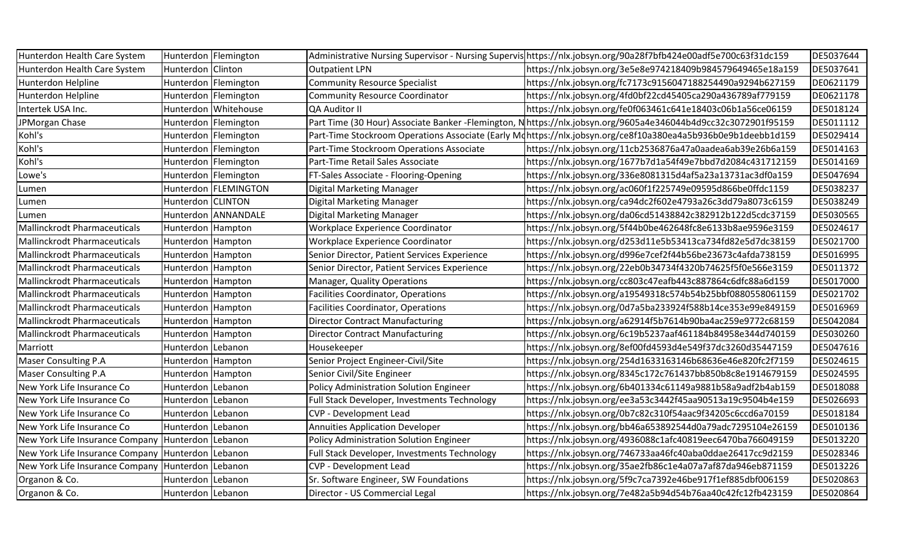| Hunterdon Health Care System                      | Hunterdon Flemington |                        |                                                | Administrative Nursing Supervisor - Nursing Supervis https://nlx.jobsyn.org/90a28f7bfb424e00adf5e700c63f31dc159 | DE5037644 |
|---------------------------------------------------|----------------------|------------------------|------------------------------------------------|-----------------------------------------------------------------------------------------------------------------|-----------|
| Hunterdon Health Care System                      | Hunterdon Clinton    |                        | <b>Outpatient LPN</b>                          | https://nlx.jobsyn.org/3e5e8e974218409b984579649465e18a159                                                      | DE5037641 |
| Hunterdon Helpline                                |                      | Hunterdon   Flemington | <b>Community Resource Specialist</b>           | https://nlx.jobsyn.org/fc7173c9156047188254490a9294b627159                                                      | DE0621179 |
| Hunterdon Helpline                                |                      | Hunterdon   Flemington | <b>Community Resource Coordinator</b>          | https://nlx.jobsyn.org/4fd0bf22cd45405ca290a436789af779159                                                      | DE0621178 |
| Intertek USA Inc.                                 |                      | Hunterdon   Whitehouse | QA Auditor II                                  | https://nlx.jobsyn.org/fe0f063461c641e18403c06b1a56ce06159                                                      | DE5018124 |
| JPMorgan Chase                                    |                      | Hunterdon   Flemington |                                                | Part Time (30 Hour) Associate Banker-Flemington, N https://nlx.jobsyn.org/9605a4e346044b4d9cc32c3072901f95159   | DE5011112 |
| Kohl's                                            |                      | Hunterdon   Flemington |                                                | Part-Time Stockroom Operations Associate (Early Mdhttps://nlx.jobsyn.org/ce8f10a380ea4a5b936b0e9b1deebb1d159    | DE5029414 |
| Kohl's                                            |                      | Hunterdon   Flemington | Part-Time Stockroom Operations Associate       | https://nlx.jobsyn.org/11cb2536876a47a0aadea6ab39e26b6a159                                                      | DE5014163 |
| Kohl's                                            |                      | Hunterdon   Flemington | Part-Time Retail Sales Associate               | https://nlx.jobsyn.org/1677b7d1a54f49e7bbd7d2084c431712159                                                      | DE5014169 |
| Lowe's                                            |                      | Hunterdon   Flemington | FT-Sales Associate - Flooring-Opening          | https://nlx.jobsyn.org/336e8081315d4af5a23a13731ac3df0a159                                                      | DE5047694 |
| Lumen                                             |                      | Hunterdon   FLEMINGTON | <b>Digital Marketing Manager</b>               | https://nlx.jobsyn.org/ac060f1f225749e09595d866be0ffdc1159                                                      | DE5038237 |
| Lumen                                             | Hunterdon CLINTON    |                        | Digital Marketing Manager                      | https://nlx.jobsyn.org/ca94dc2f602e4793a26c3dd79a8073c6159                                                      | DE5038249 |
| Lumen                                             |                      | Hunterdon ANNANDALE    | Digital Marketing Manager                      | https://nlx.jobsyn.org/da06cd51438842c382912b122d5cdc37159                                                      | DE5030565 |
| <b>Mallinckrodt Pharmaceuticals</b>               | Hunterdon Hampton    |                        | Workplace Experience Coordinator               | https://nlx.jobsyn.org/5f44b0be462648fc8e6133b8ae9596e3159                                                      | DE5024617 |
| <b>Mallinckrodt Pharmaceuticals</b>               | Hunterdon Hampton    |                        | Workplace Experience Coordinator               | https://nlx.jobsyn.org/d253d11e5b53413ca734fd82e5d7dc38159                                                      | DE5021700 |
| <b>Mallinckrodt Pharmaceuticals</b>               | Hunterdon Hampton    |                        | Senior Director, Patient Services Experience   | https://nlx.jobsyn.org/d996e7cef2f44b56be23673c4afda738159                                                      | DE5016995 |
| <b>Mallinckrodt Pharmaceuticals</b>               | Hunterdon Hampton    |                        | Senior Director, Patient Services Experience   | https://nlx.jobsyn.org/22eb0b34734f4320b74625f5f0e566e3159                                                      | DE5011372 |
| <b>Mallinckrodt Pharmaceuticals</b>               | Hunterdon Hampton    |                        | Manager, Quality Operations                    | https://nlx.jobsyn.org/cc803c47eafb443c887864c6dfc88a6d159                                                      | DE5017000 |
| <b>Mallinckrodt Pharmaceuticals</b>               | Hunterdon   Hampton  |                        | <b>Facilities Coordinator, Operations</b>      | https://nlx.jobsyn.org/a19549318c574b54b25bbf0880558061159                                                      | DE5021702 |
| <b>Mallinckrodt Pharmaceuticals</b>               | Hunterdon Hampton    |                        | <b>Facilities Coordinator, Operations</b>      | https://nlx.jobsyn.org/0d7a5ba233924f588b14ce353e99e849159                                                      | DE5016969 |
| <b>Mallinckrodt Pharmaceuticals</b>               | Hunterdon Hampton    |                        | <b>Director Contract Manufacturing</b>         | https://nlx.jobsyn.org/a62914f5b7614b90ba4ac259e9772c68159                                                      | DE5042084 |
| <b>Mallinckrodt Pharmaceuticals</b>               | Hunterdon Hampton    |                        | <b>Director Contract Manufacturing</b>         | https://nlx.jobsyn.org/6c19b5237aaf461184b84958e344d740159                                                      | DE5030260 |
| Marriott                                          | Hunterdon Lebanon    |                        | Housekeeper                                    | https://nlx.jobsyn.org/8ef00fd4593d4e549f37dc3260d35447159                                                      | DE5047616 |
| <b>Maser Consulting P.A</b>                       | Hunterdon Hampton    |                        | Senior Project Engineer-Civil/Site             | https://nlx.jobsyn.org/254d1633163146b68636e46e820fc2f7159                                                      | DE5024615 |
| Maser Consulting P.A                              | Hunterdon Hampton    |                        | Senior Civil/Site Engineer                     | https://nlx.jobsyn.org/8345c172c761437bb850b8c8e1914679159                                                      | DE5024595 |
| New York Life Insurance Co                        | Hunterdon Lebanon    |                        | <b>Policy Administration Solution Engineer</b> | https://nlx.jobsyn.org/6b401334c61149a9881b58a9adf2b4ab159                                                      | DE5018088 |
| New York Life Insurance Co                        | Hunterdon Lebanon    |                        | Full Stack Developer, Investments Technology   | https://nlx.jobsyn.org/ee3a53c3442f45aa90513a19c9504b4e159                                                      | DE5026693 |
| New York Life Insurance Co                        | Hunterdon   Lebanon  |                        | <b>CVP - Development Lead</b>                  | https://nlx.jobsyn.org/0b7c82c310f54aac9f34205c6ccd6a70159                                                      | DE5018184 |
| New York Life Insurance Co                        | Hunterdon Lebanon    |                        | <b>Annuities Application Developer</b>         | https://nlx.jobsyn.org/bb46a653892544d0a79adc7295104e26159                                                      | DE5010136 |
| New York Life Insurance Company Hunterdon Lebanon |                      |                        | <b>Policy Administration Solution Engineer</b> | https://nlx.jobsyn.org/4936088c1afc40819eec6470ba766049159                                                      | DE5013220 |
| New York Life Insurance Company Hunterdon Lebanon |                      |                        | Full Stack Developer, Investments Technology   | https://nlx.jobsyn.org/746733aa46fc40aba0ddae26417cc9d2159                                                      | DE5028346 |
| New York Life Insurance Company Hunterdon Lebanon |                      |                        | <b>CVP - Development Lead</b>                  | https://nlx.jobsyn.org/35ae2fb86c1e4a07a7af87da946eb871159                                                      | DE5013226 |
| Organon & Co.                                     | Hunterdon Lebanon    |                        | Sr. Software Engineer, SW Foundations          | https://nlx.jobsyn.org/5f9c7ca7392e46be917f1ef885dbf006159                                                      | DE5020863 |
| Organon & Co.                                     | Hunterdon Lebanon    |                        | Director - US Commercial Legal                 | https://nlx.jobsyn.org/7e482a5b94d54b76aa40c42fc12fb423159                                                      | DE5020864 |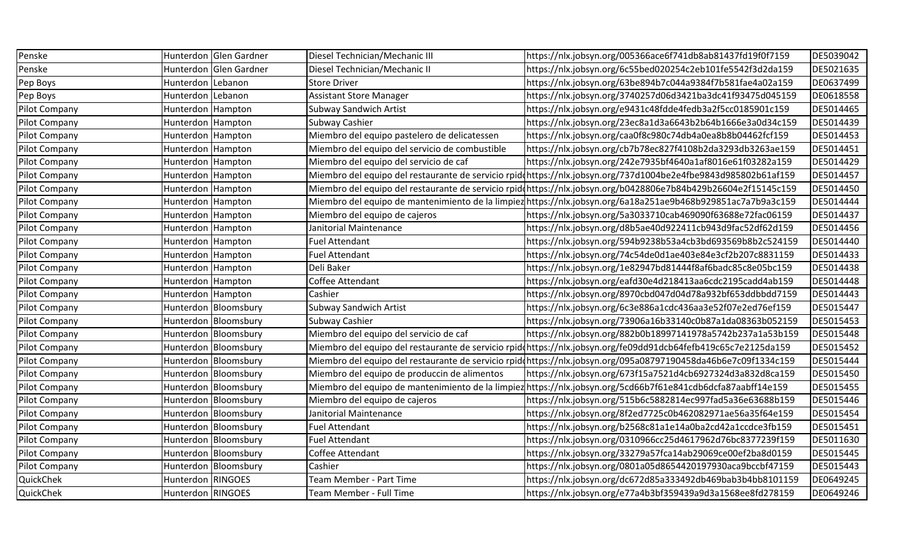| Penske               |                     | Hunterdon Glen Gardner | Diesel Technician/Mechanic III                 | https://nlx.jobsyn.org/005366ace6f741db8ab81437fd19f0f7159                                                     | DE5039042 |
|----------------------|---------------------|------------------------|------------------------------------------------|----------------------------------------------------------------------------------------------------------------|-----------|
| Penske               |                     | Hunterdon Glen Gardner | Diesel Technician/Mechanic II                  | https://nlx.jobsyn.org/6c55bed020254c2eb101fe5542f3d2da159                                                     | DE5021635 |
| Pep Boys             | Hunterdon   Lebanon |                        | <b>Store Driver</b>                            | https://nlx.jobsyn.org/63be894b7c044a9384f7b581fae4a02a159                                                     | DE0637499 |
| Pep Boys             | Hunterdon Lebanon   |                        | Assistant Store Manager                        | https://nlx.jobsyn.org/3740257d06d3421ba3dc41f93475d045159                                                     | DE0618558 |
| Pilot Company        | Hunterdon Hampton   |                        | <b>Subway Sandwich Artist</b>                  | https://nlx.jobsyn.org/e9431c48fdde4fedb3a2f5cc0185901c159                                                     | DE5014465 |
| Pilot Company        | Hunterdon Hampton   |                        | Subway Cashier                                 | https://nlx.jobsyn.org/23ec8a1d3a6643b2b64b1666e3a0d34c159                                                     | DE5014439 |
| Pilot Company        | Hunterdon Hampton   |                        | Miembro del equipo pastelero de delicatessen   | https://nlx.jobsyn.org/caa0f8c980c74db4a0ea8b8b04462fcf159                                                     | DE5014453 |
| Pilot Company        | Hunterdon Hampton   |                        | Miembro del equipo del servicio de combustible | https://nlx.jobsyn.org/cb7b78ec827f4108b2da3293db3263ae159                                                     | DE5014451 |
| Pilot Company        | Hunterdon Hampton   |                        | Miembro del equipo del servicio de caf         | https://nlx.jobsyn.org/242e7935bf4640a1af8016e61f03282a159                                                     | DE5014429 |
| Pilot Company        | Hunterdon Hampton   |                        |                                                | Miembro del equipo del restaurante de servicio rpidohttps://nlx.jobsyn.org/737d1004be2e4fbe9843d985802b61af159 | DE5014457 |
| Pilot Company        | Hunterdon Hampton   |                        |                                                | Miembro del equipo del restaurante de servicio rpidonttps://nlx.jobsyn.org/b0428806e7b84b429b26604e2f15145c159 | DE5014450 |
| <b>Pilot Company</b> | Hunterdon Hampton   |                        |                                                | Miembro del equipo de mantenimiento de la limpiez https://nlx.jobsyn.org/6a18a251ae9b468b929851ac7a7b9a3c159   | DE5014444 |
| Pilot Company        | Hunterdon Hampton   |                        | Miembro del equipo de cajeros                  | https://nlx.jobsyn.org/5a3033710cab469090f63688e72fac06159                                                     | DE5014437 |
| Pilot Company        | Hunterdon Hampton   |                        | Janitorial Maintenance                         | https://nlx.jobsyn.org/d8b5ae40d922411cb943d9fac52df62d159                                                     | DE5014456 |
| Pilot Company        | Hunterdon Hampton   |                        | <b>Fuel Attendant</b>                          | https://nlx.jobsyn.org/594b9238b53a4cb3bd693569b8b2c524159                                                     | DE5014440 |
| Pilot Company        | Hunterdon Hampton   |                        | <b>Fuel Attendant</b>                          | https://nlx.jobsyn.org/74c54de0d1ae403e84e3cf2b207c8831159                                                     | DE5014433 |
| Pilot Company        | Hunterdon Hampton   |                        | Deli Baker                                     | https://nlx.jobsyn.org/1e82947bd81444f8af6badc85c8e05bc159                                                     | DE5014438 |
| Pilot Company        | Hunterdon Hampton   |                        | Coffee Attendant                               | https://nlx.jobsyn.org/eafd30e4d218413aa6cdc2195cadd4ab159                                                     | DE5014448 |
| Pilot Company        | Hunterdon Hampton   |                        | Cashier                                        | https://nlx.jobsyn.org/8970cbd047d04d78a932bf653ddbbdd7159                                                     | DE5014443 |
| Pilot Company        |                     | Hunterdon Bloomsbury   | <b>Subway Sandwich Artist</b>                  | https://nlx.jobsyn.org/6c3e886a1cdc436aa3e52f07e2ed76ef159                                                     | DE5015447 |
| Pilot Company        |                     | Hunterdon Bloomsbury   | <b>Subway Cashier</b>                          | https://nlx.jobsyn.org/73906a16b33140c0b87a1da08363b052159                                                     | DE5015453 |
| Pilot Company        |                     | Hunterdon Bloomsbury   | Miembro del equipo del servicio de caf         | https://nlx.jobsyn.org/882b0b18997141978a5742b237a1a53b159                                                     | DE5015448 |
| Pilot Company        |                     | Hunterdon Bloomsbury   |                                                | Miembro del equipo del restaurante de servicio rpid(https://nlx.jobsyn.org/fe09dd91dcb64fefb419c65c7e2125da159 | DE5015452 |
| <b>Pilot Company</b> |                     | Hunterdon Bloomsbury   |                                                | Miembro del equipo del restaurante de servicio rpidohttps://nlx.jobsyn.org/095a08797190458da46b6e7c09f1334c159 | DE5015444 |
| Pilot Company        |                     | Hunterdon Bloomsbury   | Miembro del equipo de produccin de alimentos   | https://nlx.jobsyn.org/673f15a7521d4cb6927324d3a832d8ca159                                                     | DE5015450 |
| Pilot Company        |                     | Hunterdon Bloomsbury   |                                                | Miembro del equipo de mantenimiento de la limpiez https://nlx.jobsyn.org/5cd66b7f61e841cdb6dcfa87aabff14e159   | DE5015455 |
| Pilot Company        |                     | Hunterdon Bloomsbury   | Miembro del equipo de cajeros                  | https://nlx.jobsyn.org/515b6c5882814ec997fad5a36e63688b159                                                     | DE5015446 |
| Pilot Company        |                     | Hunterdon Bloomsbury   | Janitorial Maintenance                         | https://nlx.jobsyn.org/8f2ed7725c0b462082971ae56a35f64e159                                                     | DE5015454 |
| Pilot Company        |                     | Hunterdon Bloomsbury   | Fuel Attendant                                 | https://nlx.jobsyn.org/b2568c81a1e14a0ba2cd42a1ccdce3fb159                                                     | DE5015451 |
| Pilot Company        |                     | Hunterdon Bloomsbury   | <b>Fuel Attendant</b>                          | https://nlx.jobsyn.org/0310966cc25d4617962d76bc8377239f159                                                     | DE5011630 |
| Pilot Company        |                     | Hunterdon Bloomsbury   | Coffee Attendant                               | https://nlx.jobsyn.org/33279a57fca14ab29069ce00ef2ba8d0159                                                     | DE5015445 |
| Pilot Company        |                     | Hunterdon Bloomsbury   | Cashier                                        | https://nlx.jobsyn.org/0801a05d8654420197930aca9bccbf47159                                                     | DE5015443 |
| QuickChek            | Hunterdon RINGOES   |                        | Team Member - Part Time                        | https://nlx.jobsyn.org/dc672d85a333492db469bab3b4bb8101159                                                     | DE0649245 |
| QuickChek            | Hunterdon RINGOES   |                        | Team Member - Full Time                        | https://nlx.jobsyn.org/e77a4b3bf359439a9d3a1568ee8fd278159                                                     | DE0649246 |